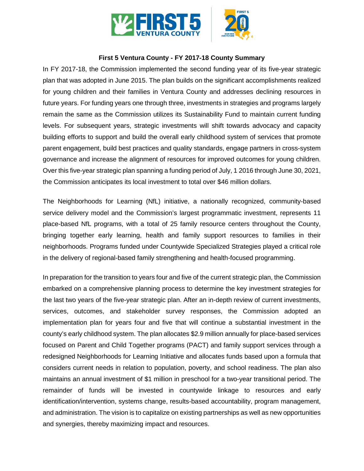

#### **First 5 Ventura County - FY 2017-18 County Summary**

In FY 2017-18, the Commission implemented the second funding year of its five-year strategic plan that was adopted in June 2015. The plan builds on the significant accomplishments realized for young children and their families in Ventura County and addresses declining resources in future years. For funding years one through three, investments in strategies and programs largely remain the same as the Commission utilizes its Sustainability Fund to maintain current funding levels. For subsequent years, strategic investments will shift towards advocacy and capacity building efforts to support and build the overall early childhood system of services that promote parent engagement, build best practices and quality standards, engage partners in cross-system governance and increase the alignment of resources for improved outcomes for young children. Over this five-year strategic plan spanning a funding period of July, 1 2016 through June 30, 2021, the Commission anticipates its local investment to total over \$46 million dollars.

The Neighborhoods for Learning (NfL) initiative, a nationally recognized, community-based service delivery model and the Commission's largest programmatic investment, represents 11 place-based NfL programs, with a total of 25 family resource centers throughout the County, bringing together early learning, health and family support resources to families in their neighborhoods. Programs funded under Countywide Specialized Strategies played a critical role in the delivery of regional-based family strengthening and health-focused programming.

In preparation for the transition to years four and five of the current strategic plan, the Commission embarked on a comprehensive planning process to determine the key investment strategies for the last two years of the five-year strategic plan. After an in-depth review of current investments, services, outcomes, and stakeholder survey responses, the Commission adopted an implementation plan for years four and five that will continue a substantial investment in the county's early childhood system. The plan allocates \$2.9 million annually for place-based services focused on Parent and Child Together programs (PACT) and family support services through a redesigned Neighborhoods for Learning Initiative and allocates funds based upon a formula that considers current needs in relation to population, poverty, and school readiness. The plan also maintains an annual investment of \$1 million in preschool for a two-year transitional period. The remainder of funds will be invested in countywide linkage to resources and early identification/intervention, systems change, results-based accountability, program management, and administration. The vision is to capitalize on existing partnerships as well as new opportunities and synergies, thereby maximizing impact and resources.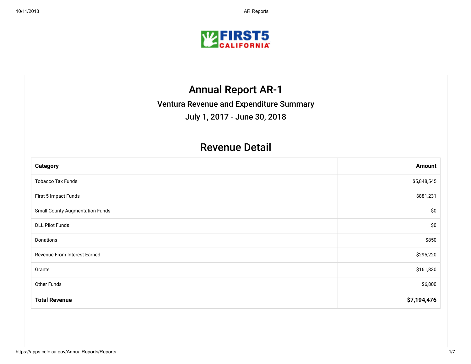

## Annual Report AR-1

Ventura Revenue and Expenditure Summary

July 1, 2017 - June 30, 2018

### Revenue Detail

| <b>Category</b>                        | <b>Amount</b> |
|----------------------------------------|---------------|
| <b>Tobacco Tax Funds</b>               | \$5,848,545   |
| First 5 Impact Funds                   | \$881,231     |
| <b>Small County Augmentation Funds</b> | \$0           |
| <b>DLL Pilot Funds</b>                 | \$0           |
| Donations                              | \$850         |
| Revenue From Interest Earned           | \$295,220     |
| Grants                                 | \$161,830     |
| Other Funds                            | \$6,800       |
| <b>Total Revenue</b>                   | \$7,194,476   |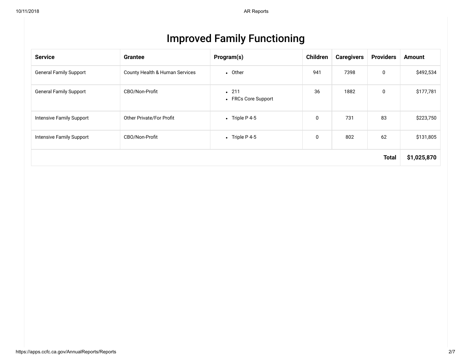| <b>Improved Family Functioning</b> |  |
|------------------------------------|--|
|------------------------------------|--|

| <b>Service</b>                | <b>Grantee</b>                 | Program(s)                  | Children    | <b>Caregivers</b> | <b>Providers</b> | <b>Amount</b> |
|-------------------------------|--------------------------------|-----------------------------|-------------|-------------------|------------------|---------------|
| <b>General Family Support</b> | County Health & Human Services | • Other                     | 941         | 7398              | 0                | \$492,534     |
| <b>General Family Support</b> | CBO/Non-Profit                 | .211<br>• FRCs Core Support | 36          | 1882              | $\mathbf 0$      | \$177,781     |
| Intensive Family Support      | Other Private/For Profit       | • Triple P 4-5              | $\mathbf 0$ | 731               | 83               | \$223,750     |
| Intensive Family Support      | CBO/Non-Profit                 | • Triple P 4-5              | 0           | 802               | 62               | \$131,805     |
|                               |                                |                             |             |                   | <b>Total</b>     | \$1,025,870   |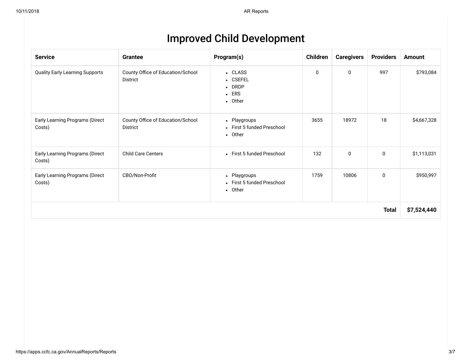|  |  | <b>Improved Child Development</b> |
|--|--|-----------------------------------|
|--|--|-----------------------------------|

| <b>Service</b>                            | <b>Grantee</b>                                       | Program(s)                                                      | Children | <b>Caregivers</b> | <b>Providers</b> | <b>Amount</b> |
|-------------------------------------------|------------------------------------------------------|-----------------------------------------------------------------|----------|-------------------|------------------|---------------|
| <b>Quality Early Learning Supports</b>    | County Office of Education/School<br>District        | • CLASS<br>• CSEFEL<br>$\bullet$ DRDP<br>$\cdot$ ERS<br>• Other | 0        | 0                 | 997              | \$793,084     |
| Early Learning Programs (Direct<br>Costs) | County Office of Education/School<br><b>District</b> | • Playgroups<br>• First 5 funded Preschool<br>• Other           | 3655     | 18972             | 18               | \$4,667,328   |
| Early Learning Programs (Direct<br>Costs) | <b>Child Care Centers</b>                            | • First 5 funded Preschool                                      | 132      | 0                 | 0                | \$1,113,031   |
| Early Learning Programs (Direct<br>Costs) | CBO/Non-Profit                                       | • Playgroups<br>• First 5 funded Preschool<br>• Other           | 1759     | 10806             | 0                | \$950,997     |
|                                           |                                                      |                                                                 |          |                   | <b>Total</b>     | \$7,524,440   |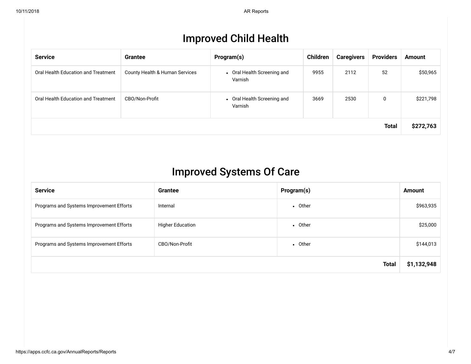## Improved Child Health

| <b>Service</b>                      | <b>Grantee</b>                 | Program(s)                             | Children | <b>Caregivers</b> | <b>Providers</b> | <b>Amount</b> |
|-------------------------------------|--------------------------------|----------------------------------------|----------|-------------------|------------------|---------------|
| Oral Health Education and Treatment | County Health & Human Services | • Oral Health Screening and<br>Varnish | 9955     | 2112              | 52               | \$50,965      |
| Oral Health Education and Treatment | CBO/Non-Profit                 | • Oral Health Screening and<br>Varnish | 3669     | 2530              | 0                | \$221,798     |
|                                     |                                |                                        |          |                   | <b>Total</b>     | \$272,763     |

## Improved Systems Of Care

| <b>Service</b>                           | <b>Grantee</b>          | Program(s)   | <b>Amount</b> |
|------------------------------------------|-------------------------|--------------|---------------|
| Programs and Systems Improvement Efforts | Internal                | • Other      | \$963,935     |
| Programs and Systems Improvement Efforts | <b>Higher Education</b> | • Other      | \$25,000      |
| Programs and Systems Improvement Efforts | CBO/Non-Profit          | • Other      | \$144,013     |
|                                          |                         | <b>Total</b> | \$1,132,948   |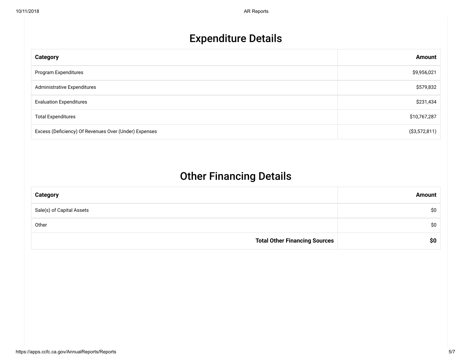# Expenditure Details

| Category                                              | <b>Amount</b>  |
|-------------------------------------------------------|----------------|
| Program Expenditures                                  | \$9,956,021    |
| Administrative Expenditures                           | \$579,832      |
| <b>Evaluation Expenditures</b>                        | \$231,434      |
| <b>Total Expenditures</b>                             | \$10,767,287   |
| Excess (Deficiency) Of Revenues Over (Under) Expenses | ( \$3,572,811) |

## Other Financing Details

| <b>Category</b>                      | <b>Amount</b> |
|--------------------------------------|---------------|
| Sale(s) of Capital Assets            | \$0           |
| Other                                | \$0           |
| <b>Total Other Financing Sources</b> | \$0           |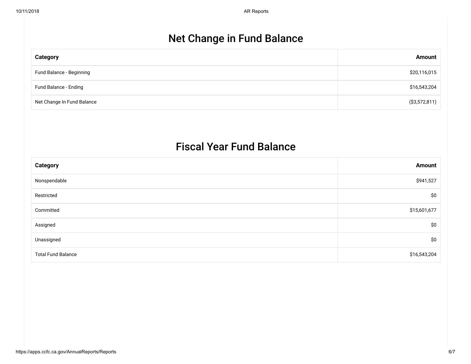## Net Change in Fund Balance

| <b>Category</b>            | <b>Amount</b>  |
|----------------------------|----------------|
| Fund Balance - Beginning   | \$20,116,015   |
| Fund Balance - Ending      | \$16,543,204   |
| Net Change In Fund Balance | ( \$3,572,811) |

### Fiscal Year Fund Balance

| <b>Category</b>           | <b>Amount</b> |
|---------------------------|---------------|
| Nonspendable              | \$941,527     |
| Restricted                | \$0           |
| Committed                 | \$15,601,677  |
| Assigned                  | \$0           |
| Unassigned                | \$0           |
| <b>Total Fund Balance</b> | \$16,543,204  |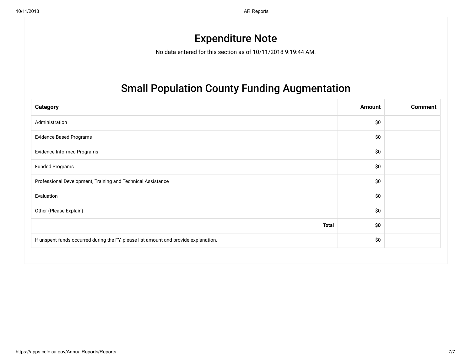10/11/2018 AR Reports

## Expenditure Note

No data entered for this section as of 10/11/2018 9:19:44 AM.

## Small Population County Funding Augmentation

| <b>Category</b>                                                                      | Amount | <b>Comment</b> |
|--------------------------------------------------------------------------------------|--------|----------------|
| Administration                                                                       | \$0    |                |
| <b>Evidence Based Programs</b>                                                       | \$0    |                |
| Evidence Informed Programs                                                           | \$0    |                |
| <b>Funded Programs</b>                                                               | \$0    |                |
| Professional Development, Training and Technical Assistance                          | \$0    |                |
| Evaluation                                                                           | \$0    |                |
| Other (Please Explain)                                                               | \$0    |                |
| <b>Total</b>                                                                         | \$0    |                |
| If unspent funds occurred during the FY, please list amount and provide explanation. | \$0    |                |
|                                                                                      |        |                |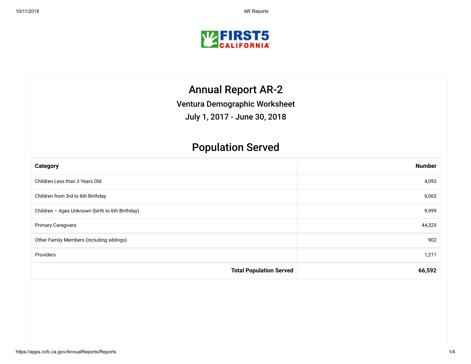

## Annual Report AR-2

Ventura Demographic Worksheet

July 1, 2017 - June 30, 2018

## Population Served

| <b>Category</b>                                 | <b>Number</b> |
|-------------------------------------------------|---------------|
| Children Less than 3 Years Old                  | 4,093         |
| Children from 3rd to 6th Birthday               | 6,062         |
| Children - Ages Unknown (birth to 6th Birthday) | 9,999         |
| <b>Primary Caregivers</b>                       | 44,325        |
| Other Family Members (including siblings)       | 902           |
| Providers                                       | 1,211         |
| <b>Total Population Served</b>                  | 66,592        |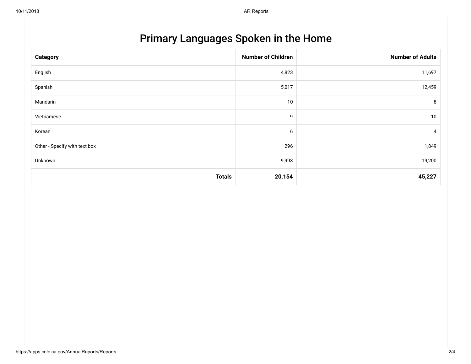# Primary Languages Spoken in the Home

| <b>Category</b>               | <b>Number of Children</b> | <b>Number of Adults</b> |
|-------------------------------|---------------------------|-------------------------|
| English                       | 4,823                     | 11,697                  |
| Spanish                       | 5,017                     | 12,459                  |
| Mandarin                      | 10                        | 8                       |
| Vietnamese                    | 9                         | 10                      |
| Korean                        | 6                         | 4                       |
| Other - Specify with text box | 296                       | 1,849                   |
| Unknown                       | 9,993                     | 19,200                  |
| <b>Totals</b>                 | 20,154                    | 45,227                  |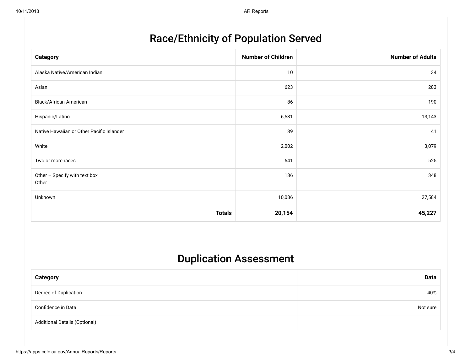## Race/Ethnicity of Population Served

| <b>Category</b>                           | <b>Number of Children</b> | <b>Number of Adults</b> |
|-------------------------------------------|---------------------------|-------------------------|
| Alaska Native/American Indian             | 10                        | 34                      |
| Asian                                     | 623                       | 283                     |
| Black/African-American                    | 86                        | 190                     |
| Hispanic/Latino                           | 6,531                     | 13,143                  |
| Native Hawaiian or Other Pacific Islander | 39                        | 41                      |
| White                                     | 2,002                     | 3,079                   |
| Two or more races                         | 641                       | 525                     |
| Other - Specify with text box<br>Other    | 136                       | 348                     |
| Unknown                                   | 10,086                    | 27,584                  |
| <b>Totals</b>                             | 20,154                    | 45,227                  |

## Duplication Assessment

| <b>Category</b>                      | Data     |
|--------------------------------------|----------|
| Degree of Duplication                | 40%      |
| Confidence in Data                   | Not sure |
| <b>Additional Details (Optional)</b> |          |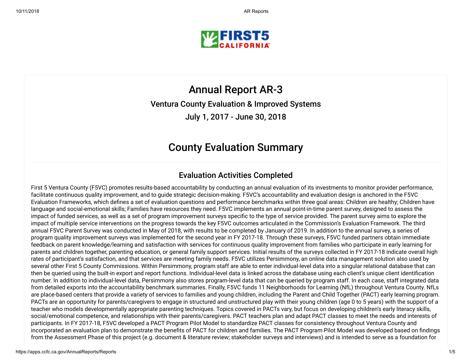

Annual Report AR-3 Ventura County Evaluation & Improved Systems July 1, 2017 - June 30, 2018

### County Evaluation Summary

### Evaluation Activities Completed

First 5 Ventura County (F5VC) promotes results-based accountability by conducting an annual evaluation of its investments to monitor provider performance, facilitate continuous quality improvement, and to guide strategic decision-making. F5VC's accountability and evaluation design is anchored in the F5VC Evaluation Frameworks, which defines a set of evaluation questions and performance benchmarks within three goal areas: Children are healthy; Children have language and social-emotional skills; Families have resources they need. F5VC implements an annual point-in-time parent survey, designed to assess the impact of funded services, as well as a set of program improvement surveys specific to the type of service provided. The parent survey aims to explore the impact of multiple service interventions on the progress towards the key F5VC outcomes articulated in the Commission's Evaluation Framework. The third annual F5VC Parent Survey was conducted in May of 2018, with results to be completed by January of 2019. In addition to the annual survey, a series of program quality improvement surveys was implemented for the second year in FY 2017-18. Through these surveys, F5VC funded partners obtain immediate feedback on parent knowledge/learning and satisfaction with services for continuous quality improvement from families who participate in early learning for parents and children together, parenting education, or general family support services. Initial results of the surveys collected in FY 2017-18 indicate overall high rates of participant's satisfaction, and that services are meeting family needs. F5VC utilizes Persimmony, an online data management solution also used by several other First 5 County Commissions. Within Persimmony, program staff are able to enter individual-level data into a singular relational database that can then be queried using the built-in export and report functions. Individual-level data is linked across the database using each client's unique client identication number. In addition to individual-level data, Persimmony also stores program-level data that can be queried by program staff. In each case, staff integrated data from detailed exports into the accountability benchmark summaries. Finally, F5VC funds 11 Neighborhoods for Learning (NfL) throughout Ventura County. NfLs are place-based centers that provide a variety of services to families and young children, including the Parent and Child Together (PACT) early learning program. PACTs are an opportunity for parents/caregivers to engage in structured and unstructured play with their young children (age 0 to 5 years) with the support of a teacher who models developmentally appropriate parenting techniques. Topics covered in PACTs vary, but focus on developing children's early literacy skills, social/emotional competence, and relationships with their parents/caregivers. PACT teachers plan and adapt PACT classes to meet the needs and interests of participants. In FY 2017-18, F5VC developed a PACT Program Pilot Model to standardize PACT classes for consistency throughout Ventura County and incorporated an evaluation plan to demonstrate the benefits of PACT for children and families. The PACT Program Pilot Model was developed based on findings from the Assessment Phase of this project (e.g. document & literature review; stakeholder surveys and interviews) and is intended to serve as a foundation for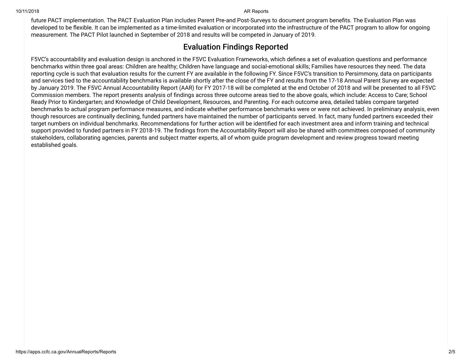future PACT implementation. The PACT Evaluation Plan includes Parent Pre-and Post-Surveys to document program benefits. The Evaluation Plan was developed to be flexible. It can be implemented as a time-limited evaluation or incorporated into the infrastructure of the PACT program to allow for ongoing measurement. The PACT Pilot launched in September of 2018 and results will be competed in January of 2019.

### Evaluation Findings Reported

F5VC's accountability and evaluation design is anchored in the F5VC Evaluation Frameworks, which defines a set of evaluation questions and performance benchmarks within three goal areas: Children are healthy; Children have language and social-emotional skills; Families have resources they need. The data reporting cycle is such that evaluation results for the current FY are available in the following FY. Since F5VC's transition to Persimmony, data on participants and services tied to the accountability benchmarks is available shortly after the close of the FY and results from the 17-18 Annual Parent Survey are expected by January 2019. The F5VC Annual Accountability Report (AAR) for FY 2017-18 will be completed at the end October of 2018 and will be presented to all F5VC Commission members. The report presents analysis of findings across three outcome areas tied to the above goals, which include: Access to Care; School Ready Prior to Kindergarten; and Knowledge of Child Development, Resources, and Parenting. For each outcome area, detailed tables compare targeted benchmarks to actual program performance measures, and indicate whether performance benchmarks were or were not achieved. In preliminary analysis, even though resources are continually declining, funded partners have maintained the number of participants served. In fact, many funded partners exceeded their target numbers on individual benchmarks. Recommendations for further action will be identified for each investment area and inform training and technical support provided to funded partners in FY 2018-19. The findings from the Accountability Report will also be shared with committees composed of community stakeholders, collaborating agencies, parents and subject matter experts, all of whom guide program development and review progress toward meeting established goals.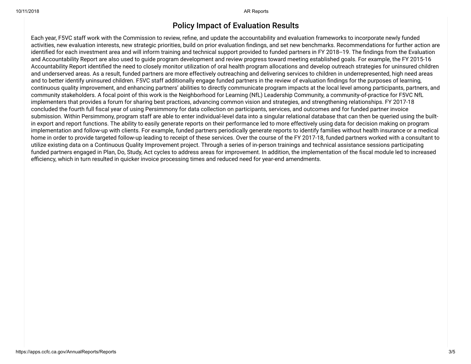#### Policy Impact of Evaluation Results

Each year, F5VC staff work with the Commission to review, refine, and update the accountability and evaluation frameworks to incorporate newly funded activities, new evaluation interests, new strategic priorities, build on prior evaluation ndings, and set new benchmarks. Recommendations for further action are identified for each investment area and will inform training and technical support provided to funded partners in FY 2018--19. The findings from the Evaluation and Accountability Report are also used to guide program development and review progress toward meeting established goals. For example, the FY 2015-16 Accountability Report identified the need to closely monitor utilization of oral health program allocations and develop outreach strategies for uninsured children and underserved areas. As a result, funded partners are more effectively outreaching and delivering services to children in underrepresented, high need areas and to better identify uninsured children. F5VC staff additionally engage funded partners in the review of evaluation ndings for the purposes of learning, continuous quality improvement, and enhancing partners' abilities to directly communicate program impacts at the local level among participants, partners, and community stakeholders. A focal point of this work is the Neighborhood for Learning (NfL) Leadership Community, a community-of-practice for F5VC NfL implementers that provides a forum for sharing best practices, advancing common vision and strategies, and strengthening relationships. FY 2017-18 concluded the fourth full fiscal year of using Persimmony for data collection on participants, services, and outcomes and for funded partner invoice submission. Within Persimmony, program staff are able to enter individual-level data into a singular relational database that can then be queried using the builtin export and report functions. The ability to easily generate reports on their performance led to more effectively using data for decision making on program implementation and follow-up with clients. For example, funded partners periodically generate reports to identify families without health insurance or a medical home in order to provide targeted follow-up leading to receipt of these services. Over the course of the FY 2017-18, funded partners worked with a consultant to utilize existing data on a Continuous Quality Improvement project. Through a series of in-person trainings and technical assistance sessions participating funded partners engaged in Plan, Do, Study, Act cycles to address areas for improvement. In addition, the implementation of the fiscal module led to increased efficiency, which in turn resulted in quicker invoice processing times and reduced need for year-end amendments.